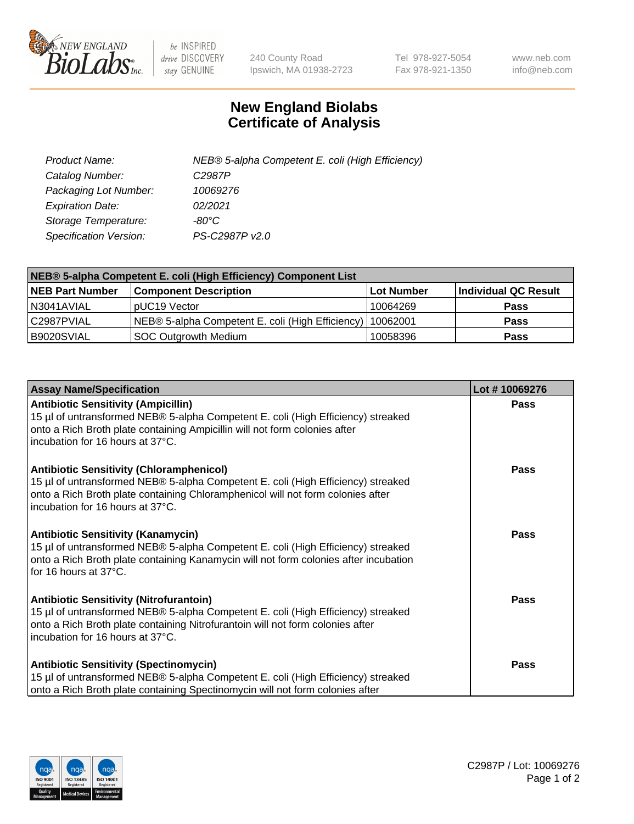

 $be$  INSPIRED drive DISCOVERY stay GENUINE

240 County Road Ipswich, MA 01938-2723 Tel 978-927-5054 Fax 978-921-1350 www.neb.com info@neb.com

## **New England Biolabs Certificate of Analysis**

| Product Name:           | NEB® 5-alpha Competent E. coli (High Efficiency) |
|-------------------------|--------------------------------------------------|
| Catalog Number:         | C <sub>2987</sub> P                              |
| Packaging Lot Number:   | 10069276                                         |
| <b>Expiration Date:</b> | 02/2021                                          |
| Storage Temperature:    | -80°C                                            |
| Specification Version:  | PS-C2987P v2.0                                   |

| NEB® 5-alpha Competent E. coli (High Efficiency) Component List |                                                  |            |                      |  |
|-----------------------------------------------------------------|--------------------------------------------------|------------|----------------------|--|
| <b>NEB Part Number</b>                                          | <b>Component Description</b>                     | Lot Number | Individual QC Result |  |
| N3041AVIAL                                                      | pUC19 Vector                                     | 10064269   | <b>Pass</b>          |  |
| C2987PVIAL                                                      | NEB® 5-alpha Competent E. coli (High Efficiency) | 10062001   | <b>Pass</b>          |  |
| B9020SVIAL                                                      | <b>SOC Outgrowth Medium</b>                      | 10058396   | <b>Pass</b>          |  |

| <b>Assay Name/Specification</b>                                                                                                                                                                                                                            | Lot #10069276 |
|------------------------------------------------------------------------------------------------------------------------------------------------------------------------------------------------------------------------------------------------------------|---------------|
| <b>Antibiotic Sensitivity (Ampicillin)</b><br>15 µl of untransformed NEB® 5-alpha Competent E. coli (High Efficiency) streaked<br>onto a Rich Broth plate containing Ampicillin will not form colonies after<br>incubation for 16 hours at 37°C.           | Pass          |
| <b>Antibiotic Sensitivity (Chloramphenicol)</b><br>15 µl of untransformed NEB® 5-alpha Competent E. coli (High Efficiency) streaked<br>onto a Rich Broth plate containing Chloramphenicol will not form colonies after<br>incubation for 16 hours at 37°C. | Pass          |
| <b>Antibiotic Sensitivity (Kanamycin)</b><br>15 µl of untransformed NEB® 5-alpha Competent E. coli (High Efficiency) streaked<br>onto a Rich Broth plate containing Kanamycin will not form colonies after incubation<br>for 16 hours at 37°C.             | Pass          |
| <b>Antibiotic Sensitivity (Nitrofurantoin)</b><br>15 µl of untransformed NEB® 5-alpha Competent E. coli (High Efficiency) streaked<br>onto a Rich Broth plate containing Nitrofurantoin will not form colonies after<br>incubation for 16 hours at 37°C.   | <b>Pass</b>   |
| <b>Antibiotic Sensitivity (Spectinomycin)</b><br>15 µl of untransformed NEB® 5-alpha Competent E. coli (High Efficiency) streaked<br>onto a Rich Broth plate containing Spectinomycin will not form colonies after                                         | Pass          |